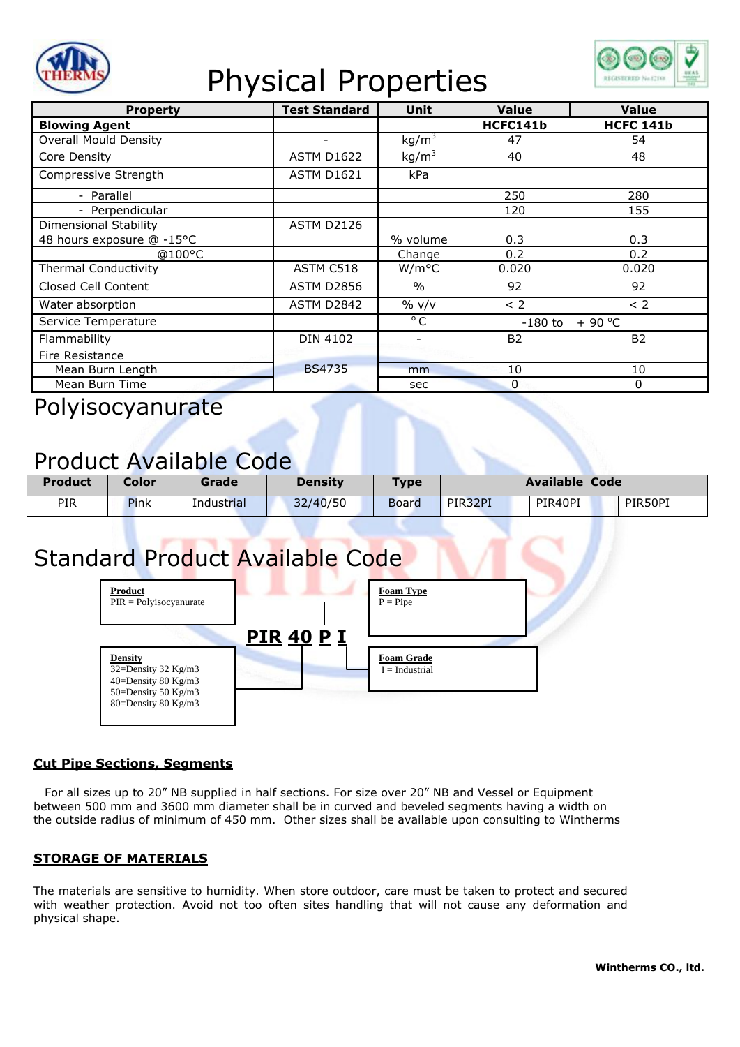

# Physical Properties



| <b>Property</b>              | <b>Test Standard</b> | <b>Unit</b>              | Value                 | <b>Value</b>     |
|------------------------------|----------------------|--------------------------|-----------------------|------------------|
| <b>Blowing Agent</b>         |                      |                          | HCFC141b              | <b>HCFC 141b</b> |
| <b>Overall Mould Density</b> |                      | kg/m <sup>3</sup>        | 47                    | 54               |
| Core Density                 | <b>ASTM D1622</b>    | kg/m <sup>3</sup>        | 40                    | 48               |
| Compressive Strength         | <b>ASTM D1621</b>    | kPa                      |                       |                  |
| - Parallel                   |                      |                          | 250                   | 280              |
| - Perpendicular              |                      |                          | 120                   | 155              |
| Dimensional Stability        | <b>ASTM D2126</b>    |                          |                       |                  |
| 48 hours exposure @ -15°C    |                      | % volume                 | 0.3                   | 0.3              |
| @100°C                       |                      | Change                   | 0.2                   | 0.2              |
| <b>Thermal Conductivity</b>  | ASTM C518            | W/m <sup>o</sup> C       | 0.020                 | 0.020            |
| Closed Cell Content          | <b>ASTM D2856</b>    | $\frac{0}{0}$            | 92                    | 92               |
| Water absorption             | ASTM D2842           | $\%$ v/v                 | < 2                   | < 2              |
| Service Temperature          |                      | $^{\circ}$ C             | $+90 °C$<br>$-180$ to |                  |
| Flammability                 | <b>DIN 4102</b>      | $\overline{\phantom{a}}$ | <b>B2</b>             | <b>B2</b>        |
| Fire Resistance              |                      |                          |                       |                  |
| Mean Burn Length             | <b>BS4735</b>        | mm                       | 10                    | 10               |
| Mean Burn Time               |                      | sec                      | 0                     | 0                |

Polyisocyanurate

### Product Available Code

| <b>Product</b> | Color | Grade      | <b>Density</b> | <b>Type</b>  | <b>Available Code</b> |         |         |
|----------------|-------|------------|----------------|--------------|-----------------------|---------|---------|
| <b>PIR</b>     | Pink  | Industrial | 32/40/50       | <b>Board</b> | PIR32PI               | PIR40PI | PIR50PI |

## Standard Product Available Code



#### **Cut Pipe Sections, Segments**

For all sizes up to 20" NB supplied in half sections. For size over 20" NB and Vessel or Equipment between 500 mm and 3600 mm diameter shall be in curved and beveled segments having a width on the outside radius of minimum of 450 mm. Other sizes shall be available upon consulting to Wintherms

#### **STORAGE OF MATERIALS**

The materials are sensitive to humidity. When store outdoor, care must be taken to protect and secured with weather protection. Avoid not too often sites handling that will not cause any deformation and physical shape.